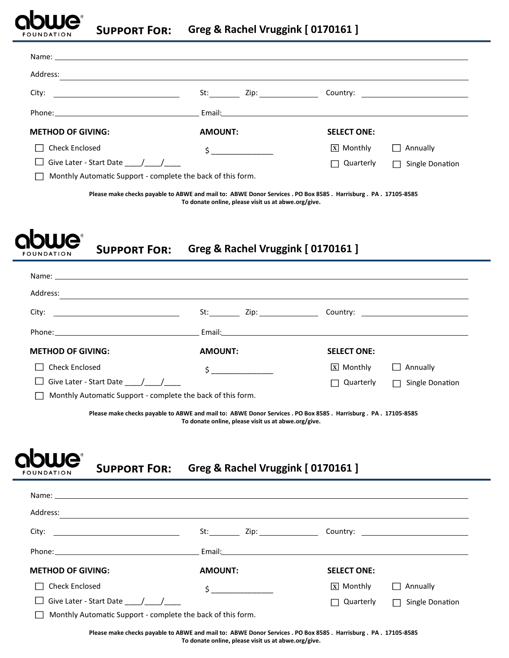

| Name: Name and the second contract of the second contract of the second contract of the second contract of the second contract of the second contract of the second contract of the second contract of the second contract of |                                                                                                                                                                                                                                                                                                                                  |                                                 |
|-------------------------------------------------------------------------------------------------------------------------------------------------------------------------------------------------------------------------------|----------------------------------------------------------------------------------------------------------------------------------------------------------------------------------------------------------------------------------------------------------------------------------------------------------------------------------|-------------------------------------------------|
| Address:                                                                                                                                                                                                                      |                                                                                                                                                                                                                                                                                                                                  |                                                 |
|                                                                                                                                                                                                                               | Zip: the contract of the contract of the contract of the contract of the contract of the contract of the contract of the contract of the contract of the contract of the contract of the contract of the contract of the contr                                                                                                   |                                                 |
|                                                                                                                                                                                                                               | Email: Email: All and the second contract of the second contract of the second contract of the second contract of the second contract of the second contract of the second contract of the second contract of the second contr                                                                                                   |                                                 |
| <b>METHOD OF GIVING:</b>                                                                                                                                                                                                      | <b>AMOUNT:</b>                                                                                                                                                                                                                                                                                                                   | <b>SELECT ONE:</b>                              |
| <b>Check Enclosed</b><br>$\overline{a}$                                                                                                                                                                                       | $\sharp$ and $\sharp$ and $\sharp$ and $\sharp$ and $\sharp$ and $\sharp$ and $\sharp$ and $\sharp$ and $\sharp$ and $\sharp$ and $\sharp$ and $\sharp$ and $\sharp$ and $\sharp$ and $\sharp$ and $\sharp$ and $\sharp$ and $\sharp$ and $\sharp$ and $\sharp$ and $\sharp$ and $\sharp$ and $\sharp$ and $\sharp$ and $\sharp$ | $\boxed{\mathbf{X}}$ Monthly<br>$\Box$ Annually |
| $\Box$ Give Later - Start Date / /                                                                                                                                                                                            |                                                                                                                                                                                                                                                                                                                                  | $\Box$ Quarterly<br>Single Donation<br>П        |

Monthly Automatic Support - complete the back of this form. T.

> **Please make checks payable to ABWE and mail to: ABWE Donor Services . PO Box 8585 . Harrisburg . PA . 17105-8585 To donate online, please visit us at abwe.org/give.**